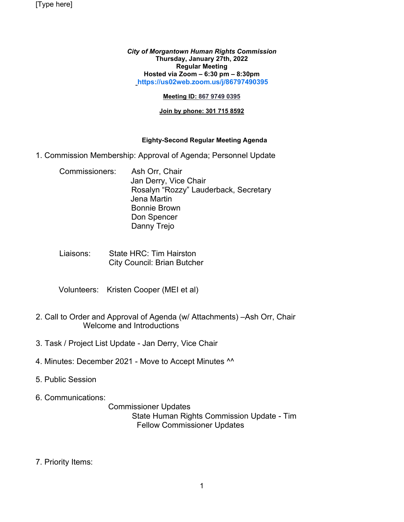[Type here]

*City of Morgantown Human Rights Commission* **Thursday, January 27th, 2022 Regular Meeting Hosted via Zoom – 6:30 pm – 8:30pm [https://us02web.zoom.us/j/86797490395](https://us02web.zoom.us/j/86797490395?pwd=dUJOdzJDSzcwRG51OTBqSGJML3BJZz09)**

## **Meeting ID: 867 9749 0395**

## **Join by phone: 301 715 8592**

## **Eighty-Second Regular Meeting Agenda**

- 1. Commission Membership: Approval of Agenda; Personnel Update
	- Commissioners: Ash Orr, Chair Jan Derry, Vice Chair Rosalyn "Rozzy" Lauderback, Secretary Jena Martin Bonnie Brown Don Spencer Danny Trejo
	- Liaisons: State HRC: Tim Hairston City Council: Brian Butcher
	- Volunteers: Kristen Cooper (MEI et al)
- 2. Call to Order and Approval of Agenda (w/ Attachments) –Ash Orr, Chair Welcome and Introductions
- 3. Task / Project List Update Jan Derry, Vice Chair
- 4. Minutes: December 2021 Move to Accept Minutes ^^
- 5. Public Session
- 6. Communications:

 Commissioner Updates State Human Rights Commission Update - Tim Fellow Commissioner Updates

7. Priority Items: